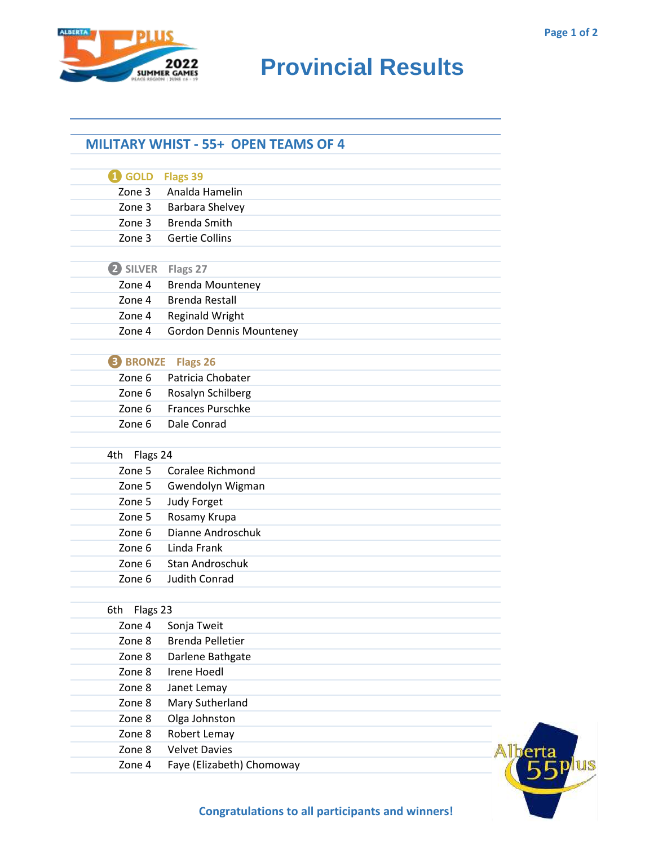

## **RIDER CAMES PROVINCIAL RESULTS**

## **MILITARY WHIST - 55+ OPEN TEAMS OF 4**

| $\mathbf 0$ GOLD  | Flags 39                       |  |
|-------------------|--------------------------------|--|
| Zone 3            | Analda Hamelin                 |  |
| Zone 3            | Barbara Shelvey                |  |
| Zone 3            | <b>Brenda Smith</b>            |  |
| Zone 3            | <b>Gertie Collins</b>          |  |
|                   |                                |  |
| 2 SILVER Flags 27 |                                |  |
| Zone 4            | <b>Brenda Mounteney</b>        |  |
| Zone 4            | <b>Brenda Restall</b>          |  |
| Zone 4            | <b>Reginald Wright</b>         |  |
| Zone 4            | <b>Gordon Dennis Mounteney</b> |  |
|                   |                                |  |
| <b>B</b> BRONZE   | Flags 26                       |  |
| Zone 6            | Patricia Chobater              |  |
| Zone 6            | Rosalyn Schilberg              |  |
| Zone 6            | <b>Frances Purschke</b>        |  |
| Zone 6            | Dale Conrad                    |  |
| 4th Flags 24      |                                |  |
| Zone 5            | Coralee Richmond               |  |
| Zone 5            | Gwendolyn Wigman               |  |
| Zone 5            | <b>Judy Forget</b>             |  |
| Zone 5            | Rosamy Krupa                   |  |
| Zone 6            | Dianne Androschuk              |  |
| Zone 6            | Linda Frank                    |  |
| Zone 6            | <b>Stan Androschuk</b>         |  |
| Zone 6            | <b>Judith Conrad</b>           |  |
|                   |                                |  |
| Flags 23<br>6th   |                                |  |
| Zone 4            | Sonja Tweit                    |  |
| Zone 8            | <b>Brenda Pelletier</b>        |  |
| Zone 8            | Darlene Bathgate               |  |
| Zone 8            | <b>Irene Hoedl</b>             |  |
| Zone 8            | Janet Lemay                    |  |
| Zone 8            | Mary Sutherland                |  |
| Zone 8            | Olga Johnston                  |  |
| Zone 8            | Robert Lemay                   |  |
| Zone 8            | <b>Velvet Davies</b>           |  |
| Zone 4            | Faye (Elizabeth) Chomoway      |  |